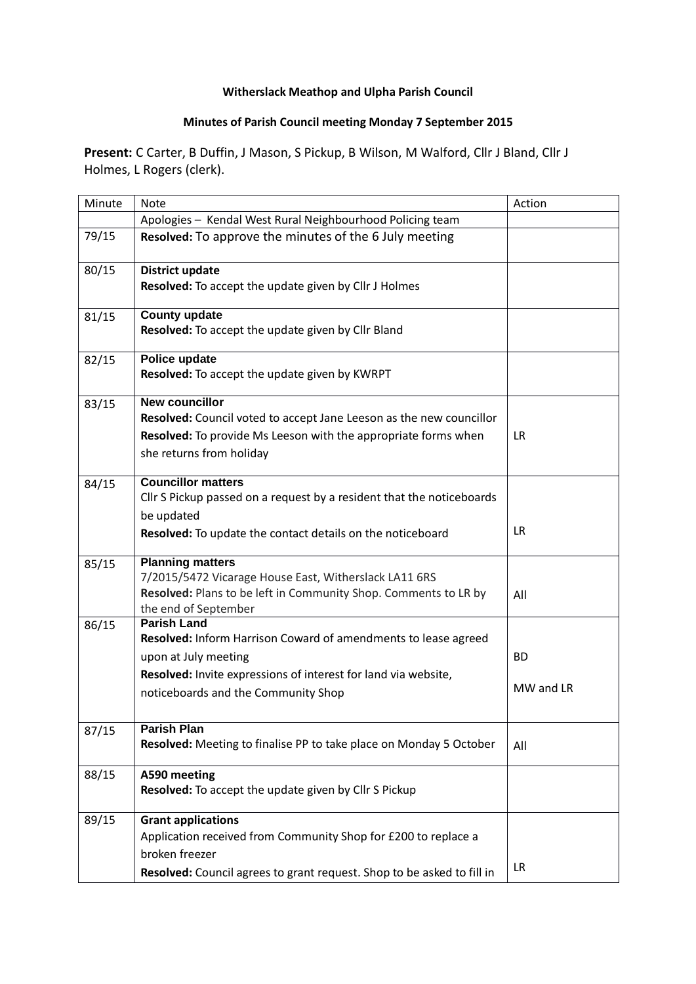## **Witherslack Meathop and Ulpha Parish Council**

## **Minutes of Parish Council meeting Monday 7 September 2015**

**Present:** C Carter, B Duffin, J Mason, S Pickup, B Wilson, M Walford, Cllr J Bland, Cllr J Holmes, L Rogers (clerk).

| Minute | <b>Note</b>                                                            | Action    |
|--------|------------------------------------------------------------------------|-----------|
|        | Apologies - Kendal West Rural Neighbourhood Policing team              |           |
| 79/15  |                                                                        |           |
|        | Resolved: To approve the minutes of the 6 July meeting                 |           |
| 80/15  | <b>District update</b>                                                 |           |
|        | Resolved: To accept the update given by Cllr J Holmes                  |           |
| 81/15  | <b>County update</b>                                                   |           |
|        | Resolved: To accept the update given by Cllr Bland                     |           |
| 82/15  | Police update                                                          |           |
|        | Resolved: To accept the update given by KWRPT                          |           |
| 83/15  | <b>New councillor</b>                                                  |           |
|        | Resolved: Council voted to accept Jane Leeson as the new councillor    |           |
|        | Resolved: To provide Ms Leeson with the appropriate forms when         | <b>LR</b> |
|        | she returns from holiday                                               |           |
| 84/15  | <b>Councillor matters</b>                                              |           |
|        | Cllr S Pickup passed on a request by a resident that the noticeboards  |           |
|        | be updated                                                             |           |
|        |                                                                        | <b>LR</b> |
|        | Resolved: To update the contact details on the noticeboard             |           |
| 85/15  | <b>Planning matters</b>                                                |           |
|        | 7/2015/5472 Vicarage House East, Witherslack LA11 6RS                  |           |
|        | Resolved: Plans to be left in Community Shop. Comments to LR by        | All       |
|        | the end of September                                                   |           |
| 86/15  | <b>Parish Land</b>                                                     |           |
|        | Resolved: Inform Harrison Coward of amendments to lease agreed         |           |
|        | upon at July meeting                                                   | <b>BD</b> |
|        | Resolved: Invite expressions of interest for land via website,         |           |
|        | noticeboards and the Community Shop                                    | MW and LR |
|        |                                                                        |           |
| 87/15  | <b>Parish Plan</b>                                                     |           |
|        | Resolved: Meeting to finalise PP to take place on Monday 5 October     | All       |
| 88/15  | A590 meeting                                                           |           |
|        | Resolved: To accept the update given by Cllr S Pickup                  |           |
|        |                                                                        |           |
| 89/15  | <b>Grant applications</b>                                              |           |
|        | Application received from Community Shop for £200 to replace a         |           |
|        | broken freezer                                                         |           |
|        | Resolved: Council agrees to grant request. Shop to be asked to fill in | LR        |